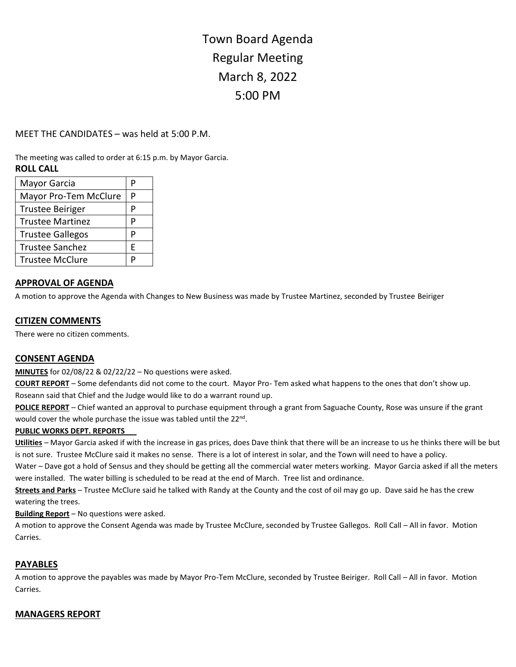# Town Board Agenda Regular Meeting March 8, 2022 5:00 PM

# MEET THE CANDIDATES – was held at 5:00 P.M.

The meeting was called to order at 6:15 p.m. by Mayor Garcia. **ROLL CALL**

| Mayor Garcia            | P |
|-------------------------|---|
| Mayor Pro-Tem McClure   | P |
| <b>Trustee Beiriger</b> | P |
| <b>Trustee Martinez</b> | P |
| <b>Trustee Gallegos</b> | P |
| <b>Trustee Sanchez</b>  | F |
| <b>Trustee McClure</b>  | P |

## **APPROVAL OF AGENDA**

A motion to approve the Agenda with Changes to New Business was made by Trustee Martinez, seconded by Trustee Beiriger

#### **CITIZEN COMMENTS**

There were no citizen comments.

## **CONSENT AGENDA**

**MINUTES** for 02/08/22 & 02/22/22 – No questions were asked.

**COURT REPORT** – Some defendants did not come to the court. Mayor Pro- Tem asked what happens to the ones that don't show up. Roseann said that Chief and the Judge would like to do a warrant round up.

**POLICE REPORT** – Chief wanted an approval to purchase equipment through a grant from Saguache County, Rose was unsure if the grant would cover the whole purchase the issue was tabled until the 22<sup>nd</sup>.

#### **PUBLIC WORKS DEPT. REPORTS**

**Utilities** – Mayor Garcia asked if with the increase in gas prices, does Dave think that there will be an increase to us he thinks there will be but is not sure. Trustee McClure said it makes no sense. There is a lot of interest in solar, and the Town will need to have a policy.

Water – Dave got a hold of Sensus and they should be getting all the commercial water meters working. Mayor Garcia asked if all the meters were installed. The water billing is scheduled to be read at the end of March. Tree list and ordinance.

**Streets and Parks** – Trustee McClure said he talked with Randy at the County and the cost of oil may go up. Dave said he has the crew watering the trees.

**Building Report** – No questions were asked.

A motion to approve the Consent Agenda was made by Trustee McClure, seconded by Trustee Gallegos. Roll Call – All in favor. Motion Carries.

## **PAYABLES**

A motion to approve the payables was made by Mayor Pro-Tem McClure, seconded by Trustee Beiriger. Roll Call – All in favor. Motion Carries.

## **MANAGERS REPORT**